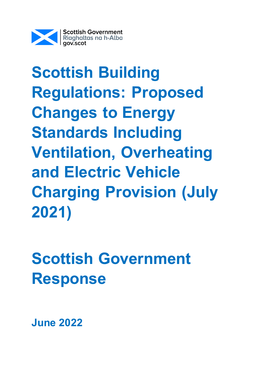

**Scottish Building Regulations: Proposed Changes to Energy Standards Including Ventilation, Overheating and Electric Vehicle Charging Provision (July 2021)**

**Scottish Government Response**

**June 2022**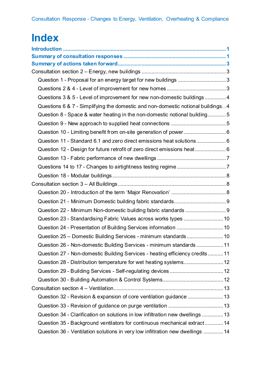# **Index**

| Question 1 - Proposal for an energy target for new buildings 3                    |  |
|-----------------------------------------------------------------------------------|--|
|                                                                                   |  |
| Questions 3 & 5 - Level of improvement for new non-domestic buildings  4          |  |
| Questions 6 & 7 - Simplifying the domestic and non-domestic notional buildings. 4 |  |
| Question 8 - Space & water heating in the non-domestic notional building5         |  |
|                                                                                   |  |
| Question 10 - Limiting benefit from on-site generation of power6                  |  |
| Question 11 - Standard 6.1 and zero direct emissions heat solutions 6             |  |
| Question 12 - Design for future retrofit of zero direct emissions heat6           |  |
|                                                                                   |  |
|                                                                                   |  |
|                                                                                   |  |
|                                                                                   |  |
|                                                                                   |  |
|                                                                                   |  |
|                                                                                   |  |
| Question 23 - Standardising Fabric Values across works types  10                  |  |
| Question 24 - Presentation of Building Services information  10                   |  |
| Question 25 - Domestic Building Services - minimum standards 10                   |  |
| Question 26 - Non-domestic Building Services - minimum standards11                |  |
| Question 27 - Non-domestic Building Services - heating efficiency credits11       |  |
| Question 28 - Distribution temperature for wet heating systems 12                 |  |
|                                                                                   |  |
|                                                                                   |  |
|                                                                                   |  |
| Question 32 - Revision & expansion of core ventilation guidance  13               |  |
|                                                                                   |  |
| Question 34 - Clarification on solutions in low infiltration new dwellings  13    |  |
| Question 35 - Background ventilators for continuous mechanical extract 14         |  |
| Question 36 - Ventilation solutions in very low infiltration new dwellings  14    |  |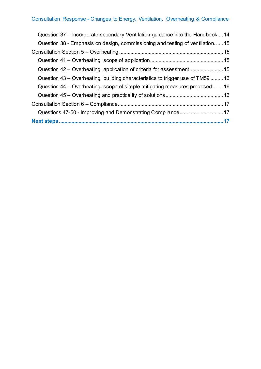| Question 37 – Incorporate secondary Ventilation guidance into the Handbook 14  |  |
|--------------------------------------------------------------------------------|--|
| Question 38 - Emphasis on design, commissioning and testing of ventilation15   |  |
|                                                                                |  |
|                                                                                |  |
|                                                                                |  |
| Question 43 – Overheating, building characteristics to trigger use of TM59  16 |  |
| Question 44 – Overheating, scope of simple mitigating measures proposed  16    |  |
|                                                                                |  |
|                                                                                |  |
|                                                                                |  |
|                                                                                |  |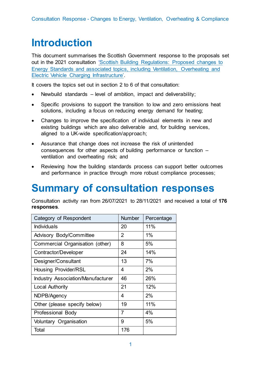# <span id="page-3-0"></span>**Introduction**

This document summarises the Scottish Government response to the proposals set out in the 2021 consultation ['Scottish Building Regulations: Proposed changes to](https://consult.gov.scot/local-government-and-communities/building-regulations-energy-standards-review/)  [Energy Standards and associated topics, including Ventilation, Overheating and](https://consult.gov.scot/local-government-and-communities/building-regulations-energy-standards-review/)  [Electric Vehicle Charging Infrastructure'.](https://consult.gov.scot/local-government-and-communities/building-regulations-energy-standards-review/)

It covers the topics set out in section 2 to 6 of that consultation:

- Newbuild standards level of ambition, impact and deliverability;
- Specific provisions to support the transition to low and zero emissions heat solutions, including a focus on reducing energy demand for heating;
- Changes to improve the specification of individual elements in new and existing buildings which are also deliverable and, for building services, aligned to a UK-wide specification/approach;
- Assurance that change does not increase the risk of unintended consequences for other aspects of building performance or function – ventilation and overheating risk; and
- Reviewing how the building standards process can support better outcomes and performance in practice through more robust compliance processes;

# <span id="page-3-1"></span>**Summary of consultation responses**

Consultation activity ran from 26/07/2021 to 28/11/2021 and received a total of **176 responses**.

| Category of Respondent                   | <b>Number</b>  | Percentage |
|------------------------------------------|----------------|------------|
| <b>Individuals</b>                       | 20             | 11%        |
| <b>Advisory Body/Committee</b>           | $\overline{2}$ | 1%         |
| Commercial Organisation (other)          | 8              | 5%         |
| Contractor/Developer                     | 24             | 14%        |
| Designer/Consultant                      | 13             | 7%         |
| <b>Housing Provider/RSL</b>              | 4              | 2%         |
| <b>Industry Association/Manufacturer</b> | 46             | 26%        |
| <b>Local Authority</b>                   | 21             | 12%        |
| NDPB/Agency                              | 4              | 2%         |
| Other (please specify below)             | 19             | 11%        |
| Professional Body                        | $\overline{7}$ | 4%         |
| Voluntary Organisation                   | 9              | 5%         |
| Total                                    | 176            |            |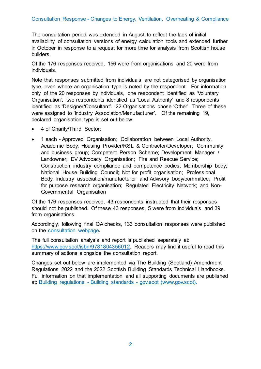#### Consultation Response - Changes to Energy, Ventilation, Overheating & Compliance

The consultation period was extended in August to reflect the lack of initial availability of consultation versions of energy calculation tools and extended further in October in response to a request for more time for analysis from Scottish house builders.

Of the 176 responses received, 156 were from organisations and 20 were from individuals.

Note that responses submitted from individuals are not categorised by organisation type, even where an organisation type is noted by the respondent. For information only, of the 20 responses by individuals, one respondent identified as 'Voluntary Organisation', two respondents identified as 'Local Authority' and 8 respondents identified as 'Designer/Consultant'. 22 Organisations chose 'Other'. Three of these were assigned to 'Industry Association/Manufacturer'. Of the remaining 19, declared organisation type is set out below:

- 4 of Charity/Third Sector;
- 1 each Approved Organisation; Collaboration between Local Authority, Academic Body, Housing Provider/RSL & Contractor/Developer; Community and business group; Competent Person Scheme; Development Manager / Landowner; EV Advocacy Organisation; Fire and Rescue Service; Construction industry compliance and competence bodies; Membership body; National House Building Council; Not for profit organisation; Professional Body, Industry association/manufacturer and Advisory body/committee; Profit for purpose research organisation; Regulated Electricity Network; and Non-Governmental Organisation

Of the 176 responses received, 43 respondents instructed that their responses should not be published. Of these 43 responses, 5 were from individuals and 39 from organisations.

Accordingly, following final QA checks, 133 consultation responses were published on the [consultation webpage.](https://consult.gov.scot/local-government-and-communities/building-regulations-energy-standards-review/consultation/published_select_respondent)

The full consultation analysis and report is published separately at: [https://www.gov.scot/isbn/9781804356012.](https://www.gov.scot/isbn/9781804356012) Readers may find it useful to read this summary of actions alongside the consultation report.

Changes set out below are implemented via The Building (Scotland) Amendment Regulations 2022 and the 2022 Scottish Building Standards Technical Handbooks. Full information on that implementation and all supporting documents are published at: Building regulations - Building standards - [gov.scot \(www.gov.scot\).](https://www.gov.scot/policies/building-standards/monitoring-improving-building-regulations/)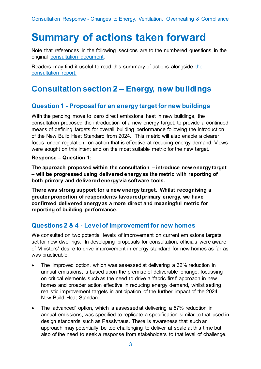# <span id="page-5-0"></span>**Summary of actions taken forward**

Note that references in the following sections are to the numbered questions in the original [consultation document.](https://consult.gov.scot/local-government-and-communities/building-regulations-energy-standards-review/consultation/published_select_respondent)

Readers may find it useful to read this summary of actions alongside the [consultation report.](https://www.gov.scot/isbn/9781804356012)

## <span id="page-5-1"></span>**Consultation section 2 – Energy, new buildings**

### <span id="page-5-2"></span>**Question 1 - Proposal for an energy target for new buildings**

With the pending move to 'zero direct emissions' heat in new buildings, the consultation proposed the introduction of a new energy target, to provide a continued means of defining targets for overall building performance following the introduction of the New Build Heat Standard from 2024. This metric will also enable a clearer focus, under regulation, on action that is effective at reducing energy demand. Views were sought on this intent and on the most suitable metric for the new target.

#### **Response – Question 1:**

**The approach proposed within the consultation – introduce new energy target – will be progressed using delivered energy as the metric with reporting of both primary and delivered energyvia software tools.**

**There was strong support for a new energy target. Whilst recognising a greater proportion of respondents favoured primary energy, we have confirmed delivered energy as a more direct and meaningful metric for reporting of building performance.**

### <span id="page-5-3"></span>**Questions 2 & 4 - Level of improvement for new homes**

We consulted on two potential levels of improvement on current emissions targets set for new dwellings. In developing proposals for consultation, officials were aware of Ministers' desire to drive improvement in energy standard for new homes as far as was practicable.

- The 'improved option, which was assessed at delivering a 32% reduction in annual emissions, is based upon the premise of deliverable change, focussing on critical elements such as the need to drive a 'fabric first' approach in new homes and broader action effective in reducing energy demand, whilst setting realistic improvement targets in anticipation of the further impact of the 2024 New Build Heat Standard.
- The 'advanced' option, which is assessed at delivering a 57% reduction in annual emissions, was specified to replicate a specification similar to that used in design standards such as Passivhaus. There is awareness that such an approach may potentially be too challenging to deliver at scale at this time but also of the need to seek a response from stakeholders to that level of challenge.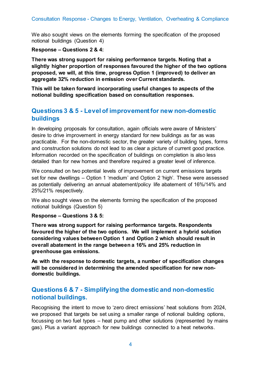We also sought views on the elements forming the specification of the proposed notional buildings (Question 4)

**Response – Questions 2 & 4:**

**There was strong support for raising performance targets. Noting that a slightly higher proportion of responses favoured the higher of the two options proposed, we will, at this time, progress Option 1 (improved) to deliver an aggregate 32% reduction in emission over Current standards.** 

**This will be taken forward incorporating useful changes to aspects of the notional building specification based on consultation responses.**

### <span id="page-6-0"></span>**Questions 3 & 5 - Level of improvement for new non-domestic buildings**

In developing proposals for consultation, again officials were aware of Ministers' desire to drive improvement in energy standard for new buildings as far as was practicable. For the non-domestic sector, the greater variety of building types, forms and construction solutions do not lead to as clear a picture of current good practice. Information recorded on the specification of buildings on completion is also less detailed than for new homes and therefore required a greater level of inference.

We consulted on two potential levels of improvement on current emissions targets set for new dwellings – Option 1 'medium' and Option 2 'high'. These were assessed as potentially delivering an annual abatement/policy life abatement of 16%/14% and 25%/21% respectively.

We also sought views on the elements forming the specification of the proposed notional buildings (Question 5)

#### **Response – Questions 3 & 5:**

**There was strong support for raising performance targets. Respondents favoured the higher of the two options. We will implement a hybrid solution considering values between Option 1 and Option 2 which should result in overall abatement in the range between a 16% and 25% reduction in greenhouse gas emissions.** 

**As with the response to domestic targets, a number of specification changes will be considered in determining the amended specification for new nondomestic buildings.**

### <span id="page-6-1"></span>**Questions 6 & 7 - Simplifying the domestic and non-domestic notional buildings.**

Recognising the intent to move to 'zero direct emissions' heat solutions from 2024, we proposed that targets be set using a smaller range of notional building options, focussing on two fuel types – heat pump and other solutions (represented by mains gas). Plus a variant approach for new buildings connected to a heat networks.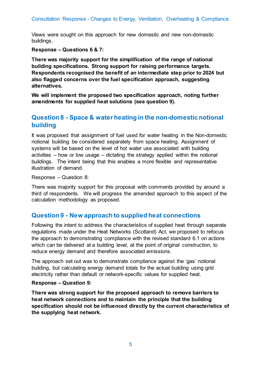Views were sought on this approach for new domestic and new non-domestic buildings.

**Response – Questions 6 & 7:**

**There was majority support for the simplification of the range of national building specifications. Strong support for raising performance targets. Respondents recognised the benefit of an intermediate step prior to 2024 but also flagged concerns over the fuel specification approach, suggesting alternatives.** 

**We will implement the proposed two specification approach, noting further amendments for supplied heat solutions (see question 9).**

### <span id="page-7-0"></span>**Question 8 - Space & water heating in the non-domestic notional building**

It was proposed that assignment of fuel used for water heating in the Non-domestic notional building be considered separately from space heating. Assignment of systems will be based on the level of hot water use associated with building activities – how or low usage – dictating the strategy applied within the notional buildings. The intent being that this enables a more flexible and representative illustration of demand.

Response – Question 8:

There was majority support for this proposal with comments provided by around a third of respondents. We will progress the amended approach to this aspect of the calculation methodology as proposed.

### <span id="page-7-1"></span>**Question 9 - New approach to supplied heat connections**

Following the intent to address the characteristics of supplied heat through separate regulations made under the Heat Networks (Scotland) Act, we proposed to refocus the approach to demonstrating compliance with the revised standard 6.1 on actions which can be delivered at a building level, at the point of original construction, to reduce energy demand and therefore associated emissions.

The approach set out was to demonstrate compliance against the 'gas' notional building, but calculating energy demand totals for the actual building using grid electricity rather than default or network-specific values for supplied heat.

#### **Response – Question 9:**

**There was strong support for the proposed approach to remove barriers to heat network connections and to maintain the principle that the building specification should not be influenced directly by the current characteristics of the supplying heat network.**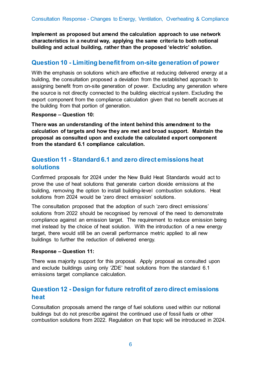**Implement as proposed but amend the calculation approach to use network characteristics in a neutral way, applying the same criteria to both notional building and actual building, rather than the proposed 'electric' solution.**

### <span id="page-8-0"></span>**Question 10 - Limiting benefit from on-site generation of power**

With the emphasis on solutions which are effective at reducing delivered energy at a building, the consultation proposed a deviation from the established approach to assigning benefit from on-site generation of power. Excluding any generation where the source is not directly connected to the building electrical system. Excluding the export component from the compliance calculation given that no benefit accrues at the building from that portion of generation.

#### **Response – Question 10:**

**There was an understanding of the intent behind this amendment to the calculation of targets and how they are met and broad support. Maintain the proposal as consulted upon and exclude the calculated export component from the standard 6.1 compliance calculation.** 

### <span id="page-8-1"></span>**Question 11 - Standard 6.1 and zero direct emissions heat solutions**

Confirmed proposals for 2024 under the New Build Heat Standards would act to prove the use of heat solutions that generate carbon dioxide emissions at the building, removing the option to install building-level combustion solutions. Heat solutions from 2024 would be 'zero direct emission' solutions.

The consultation proposed that the adoption of such 'zero direct emissions' solutions from 2022 should be recognised by removal of the need to demonstrate compliance against an emission target. The requirement to reduce emission being met instead by the choice of heat solution. With the introduction of a new energy target, there would still be an overall performance metric applied to all new buildings to further the reduction of delivered energy.

#### **Response – Question 11:**

There was majority support for this proposal. Apply proposal as consulted upon and exclude buildings using only 'ZDE' heat solutions from the standard 6.1 emissions target compliance calculation.

### <span id="page-8-2"></span>**Question 12 - Design for future retrofit of zero direct emissions heat**

Consultation proposals amend the range of fuel solutions used within our notional buildings but do not prescribe against the continued use of fossil fuels or other combustion solutions from 2022. Regulation on that topic will be introduced in 2024.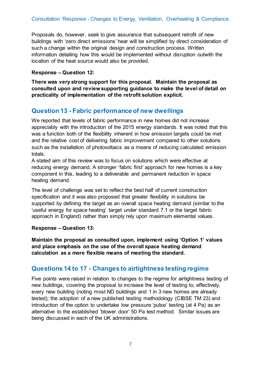Proposals do, however, seek to give assurance that subsequent retrofit of new buildings with 'zero direct emissions' hear will be simplified by direct consideration of such a change within the original design and construction process. Written information detailing how this would be implemented without disruption outwith the location of the heat source would also be provided.

#### **Response – Question 12:**

**There was very strong support for this proposal. Maintain the proposal as consulted upon and review supporting guidance to make the level of detail on practicality of implementation of the retrofit solution explicit.** 

### <span id="page-9-0"></span>**Question 13 - Fabric performance of new dwellings**

We reported that levels of fabric performance in new homes did not increase appreciably with the introduction of the 2015 energy standards. It was noted that this was a function both of the flexibility inherent in how emission targets could be met and the relative cost of delivering fabric improvement compared to other solutions such as the installation of photovoltaics as a means of reducing calculated emission totals.

A stated aim of this review was to focus on solutions which were effective at reducing energy demand. A stronger 'fabric first' approach for new homes is a key component in this, leading to a deliverable and permanent reduction in space heating demand.

The level of challenge was set to reflect the best half of current construction specification and it was also proposed that greater flexibility in solutions be supported by defining the target as an overall space heating demand (similar to the 'useful energy for space heating' target under standard 7.1 or the target fabric approach in England) rather than simply rely upon maximum elemental values.

#### **Response – Question 13:**

**Maintain the proposal as consulted upon, implement using 'Option 1' values and place emphasis on the use of the overall space heating demand calculation as a more flexible means of meeting the standard.** 

### <span id="page-9-1"></span>**Questions 14 to 17 - Changes to airtightness testing regime**

Five points were raised in relation to changes to the regime for airtightness testing of new buildings, covering the proposal to increase the level of testing to, effectively, every new building (noting most ND buildings and 1 in 3 new homes are already tested); the adoption of a new published testing methodology (CIBSE TM 23) and introduction of the option to undertake low pressure 'pulse' testing (at 4 Pa) as an alternative to the established 'blower door' 50 Pa test method. Similar issues are being discussed in each of the UK administrations.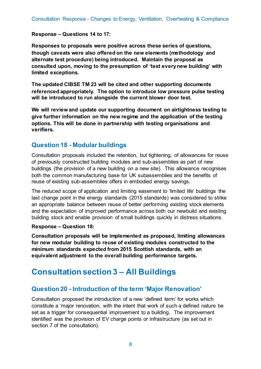#### **Response – Questions 14 to 17:**

**Responses to proposals were positive across these series of questions, though caveats were also offered on the new elements (methodology and alternate test procedure) being introduced. Maintain the proposal as consulted upon, moving to the presumption of 'test every new building' with limited exceptions.** 

**The updated CIBSE TM 23 will be cited and other supporting documents referenced appropriately. The option to introduce low pressure pulse testing will be introduced to run alongside the current blower door test.** 

**We will review and update our supporting document on airtightness testing to give further information on the new regime and the application of the testing options. This will be done in partnership with testing organisations and verifiers.** 

#### <span id="page-10-0"></span>**Question 18 - Modular buildings**

Consultation proposals included the retention, but tightening, of allowances for reuse of previously constructed building modules and sub-assemblies as part of new buildings (the provision of a new building on a new site). This allowance recognises both the common manufacturing base for UK subassemblies and the benefits of reuse of existing sub-assemblies offers in embodied energy savings.

The reduced scope of application and limiting easement to 'limited life' buildings the last change point in the energy standards (2015 standards) was considered to strike an appropriate balance between reuse of better performing existing stock elements and the expectation of improved performance across both our newbuild and existing building stock and enable provision of small buildings quickly in distress situations.

#### **Response – Question 18:**

**Consultation proposals will be implemented as proposed, limiting allowances for new modular building to reuse of existing modules constructed to the minimum standards expected from 2015 Scottish standards, with an equivalent adjustment to the overall building performance targets.** 

## <span id="page-10-1"></span>**Consultation section 3 – All Buildings**

### <span id="page-10-2"></span>**Question 20 - Introduction of the term 'Major Renovation'**

Consultation proposed the introduction of a new 'defined term' for works which constitute a 'major renovation, with the intent that work of such a defined nature be set as a trigger for consequential improvement to a building. The improvement identified was the provision of EV charge points or infrastructure (as set out in section 7 of the consultation).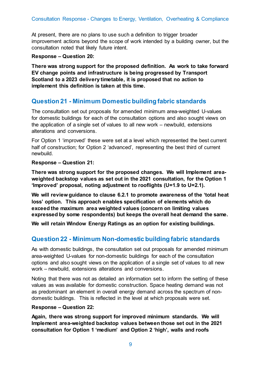At present, there are no plans to use such a definition to trigger broader improvement actions beyond the scope of work intended by a building owner, but the consultation noted that likely future intent.

#### **Response – Question 20:**

**There was strong support for the proposed definition. As work to take forward EV change points and infrastructure is being progressed by Transport Scotland to a 2023 delivery timetable, it is proposed that no action to implement this definition is taken at this time.**

### <span id="page-11-0"></span>**Question 21 - Minimum Domestic building fabric standards**

The consultation set out proposals for amended minimum area-weighted U-values for domestic buildings for each of the consultation options and also sought views on the application of a single set of values to all new work – newbuild, extensions alterations and conversions.

For Option 1 'improved' these were set at a level which represented the best current half of construction; for Option 2 'advanced', representing the best third of current newbuild.

#### **Response – Question 21:**

**There was strong support for the proposed changes. We will Implement areaweighted backstop values as set out in the 2021 consultation, for the Option 1 'Improved' proposal, noting adjustment to rooflights (U=1.9 to U=2.1).** 

**We will review guidance to clause 6.2.1 to promote awareness of the 'total heat loss' option. This approach enables specification of elements which do exceed the maximum area weighted values (concern on limiting values expressed by some respondents) but keeps the overall heat demand the same.**

**We will retain Window Energy Ratings as an option for existing buildings.**

### <span id="page-11-1"></span>**Question 22 - Minimum Non-domestic building fabric standards**

As with domestic buildings, the consultation set out proposals for amended minimum area-weighted U-values for non-domestic buildings for each of the consultation options and also sought views on the application of a single set of values to all new work – newbuild, extensions alterations and conversions.

Noting that there was not as detailed an information set to inform the setting of these values as was available for domestic construction. Space heating demand was not as predominant an element in overall energy demand across the spectrum of nondomestic buildings. This is reflected in the level at which proposals were set.

#### **Response – Question 22:**

**Again, there was strong support for improved minimum standards. We will Implement area-weighted backstop values between those set out in the 2021 consultation for Option 1 'medium' and Option 2 'high', walls and roofs**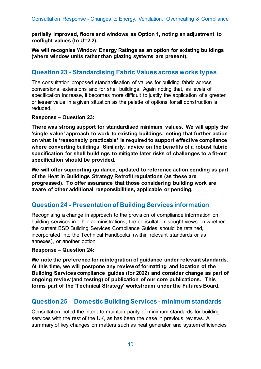**partially improved, floors and windows as Option 1, noting an adjustment to rooflight values (to U=2.2).** 

**We will recognise Window Energy Ratings as an option for existing buildings (where window units rather than glazing systems are present).**

### <span id="page-12-0"></span>**Question 23 - Standardising Fabric Values across works types**

The consultation proposed standardisation of values for building fabric across conversions, extensions and for shell buildings. Again noting that, as levels of specification increase, it becomes more difficult to justify the application of a greater or lesser value in a given situation as the palette of options for all construction is reduced.

#### **Response – Question 23:**

**There was strong support for standardised minimum values. We will apply the 'single value' approach to work to existing buildings, noting that further action on what is 'reasonably practicable' is required to support effective compliance where converting buildings. Similarly, advice on the benefits of a robust fabric specification for shell buildings to mitigate later risks of challenges to a fit-out specification should be provided.** 

**We will offer supporting guidance, updated to reference action pending as part of the Heat in Buildings Strategy Retrofit regulations (as these are progressed). To offer assurance that those considering building work are aware of other additional responsibilities, applicable or pending.**

### <span id="page-12-1"></span>**Question 24 - Presentation of Building Services information**

Recognising a change in approach to the provision of compliance information on building services in other administrations, the consultation sought views on whether the current BSD Building Services Compliance Guides should be retained, incorporated into the Technical Handbooks (within relevant standards or as annexes), or another option.

#### **Response – Question 24:**

**We note the preference for reintegration of guidance under relevant standards. At this time, we will postpone any review of formatting and location of the Building Services compliance guides (for 2022) and consider change as part of ongoing review (and testing) of publication of our core publications. This forms part of the 'Technical Strategy' workstream under the Futures Board.**

### <span id="page-12-2"></span>**Question 25 – Domestic Building Services - minimum standards**

Consultation noted the intent to maintain parity of minimum standards for building services with the rest of the UK, as has been the case in previous reviews. A summary of key changes on matters such as heat generator and system efficiencies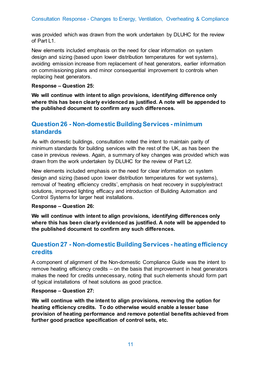was provided which was drawn from the work undertaken by DLUHC for the review of Part L1.

New elements included emphasis on the need for clear information on system design and sizing (based upon lower distribution temperatures for wet systems), avoiding emission increase from replacement of heat generators, earlier information on commissioning plans and minor consequential improvement to controls when replacing heat generators.

#### **Response – Question 25:**

**We will continue with intent to align provisions, identifying difference only where this has been clearly evidenced as justified. A note will be appended to the published document to confirm any such differences.**

### <span id="page-13-0"></span>**Question 26 - Non-domestic Building Services - minimum standards**

As with domestic buildings, consultation noted the intent to maintain parity of minimum standards for building services with the rest of the UK, as has been the case in previous reviews. Again, a summary of key changes was provided which was drawn from the work undertaken by DLUHC for the review of Part L2.

New elements included emphasis on the need for clear information on system design and sizing (based upon lower distribution temperatures for wet systems), removal of 'heating efficiency credits', emphasis on heat recovery in supply/extract solutions, improved lighting efficacy and introduction of Building Automation and Control Systems for larger heat installations.

#### **Response – Question 26:**

**We will continue with intent to align provisions, identifying differences only where this has been clearly evidenced as justified. A note will be appended to the published document to confirm any such differences.**

### <span id="page-13-1"></span>**Question 27 - Non-domestic Building Services - heating efficiency credits**

A component of alignment of the Non-domestic Compliance Guide was the intent to remove heating efficiency credits – on the basis that improvement in heat generators makes the need for credits unnecessary, noting that such elements should form part of typical installations of heat solutions as good practice.

#### **Response – Question 27:**

**We will continue with the intent to align provisions, removing the option for heating efficiency credits. To do otherwise would enable a lesser base provision of heating performance and remove potential benefits achieved from further good practice specification of control sets, etc.**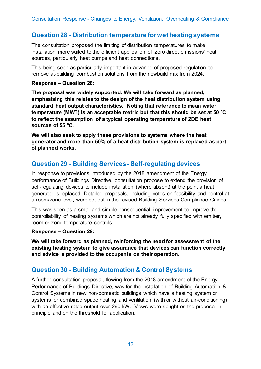### <span id="page-14-0"></span>**Question 28 - Distribution temperature for wet heating systems**

The consultation proposed the limiting of distribution temperatures to make installation more suited to the efficient application of 'zero direct emissions' heat sources, particularly heat pumps and heat connections.

This being seen as particularly important in advance of proposed regulation to remove at-building combustion solutions from the newbuild mix from 2024.

#### **Response – Question 28:**

**The proposal was widely supported. We will take forward as planned, emphasising this relates to the design of the heat distribution system using standard heat output characteristics. Noting that reference to mean water temperature (MWT) is an acceptable metric but that this should be set at 50 ºC to reflect the assumption of a typical operating temperature of ZDE heat sources of 55 ºC**.

**We will also seek to apply these provisions to systems where the heat generator and more than 50% of a heat distribution system is replaced as part of planned works.**

### <span id="page-14-1"></span>**Question 29 - Building Services - Self-regulating devices**

In response to provisions introduced by the 2018 amendment of the Energy performance of Buildings Directive, consultation propose to extend the provision of self-regulating devices to include installation (where absent) at the point a heat generator is replaced. Detailed proposals, including notes on feasibility and control at a room/zone level, were set out in the revised Building Services Compliance Guides.

This was seen as a small and simple consequential improvement to improve the controllability of heating systems which are not already fully specified with emitter, room or zone temperature controls.

#### **Response – Question 29:**

**We will take forward as planned, reinforcing the need for assessment of the existing heating system to give assurance that devices can function correctly and advice is provided to the occupants on their operation.**

### <span id="page-14-2"></span>**Question 30 - Building Automation & Control Systems**

A further consultation proposal, flowing from the 2018 amendment of the Energy Performance of Buildings Directive, was for the installation of Building Automation & Control Systems in new non-domestic buildings which have a heating system or systems for combined space heating and ventilation (with or without air-conditioning) with an effective rated output over 290 kW. Views were sought on the proposal in principle and on the threshold for application.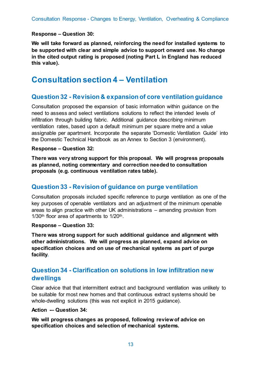#### **Response – Question 30:**

**We will take forward as planned, reinforcing the need for installed systems to be supported with clear and simple advice to support onward use. No change in the cited output rating is proposed (noting Part L in England has reduced this value).**

## <span id="page-15-0"></span>**Consultation section 4 – Ventilation**

### <span id="page-15-1"></span>**Question 32 - Revision & expansion of core ventilation guidance**

Consultation proposed the expansion of basic information within guidance on the need to assess and select ventilations solutions to reflect the intended levels of infiltration through building fabric. Additional guidance describing minimum ventilation rates, based upon a default minimum per square metre and a value assignable per apartment. Incorporate the separate 'Domestic Ventilation Guide' into the Domestic Technical Handbook as an Annex to Section 3 (environment).

#### **Response – Question 32:**

**There was very strong support for this proposal. We will progress proposals as planned, noting commentary and correction needed to consultation proposals (e.g. continuous ventilation rates table).** 

### <span id="page-15-2"></span>**Question 33 - Revision of guidance on purge ventilation**

Consultation proposals included specific reference to purge ventilation as one of the key purposes of openable ventilators and an adjustment of the minimum openable areas to align practice with other UK administrations – amending provision from 1/30<sup>th</sup> floor area of apartments to 1/20<sup>th</sup>.

#### **Response – Question 33:**

**There was strong support for such additional guidance and alignment with other administrations. We will progress as planned, expand advice on specification choices and on use of mechanical systems as part of purge facility.** 

### <span id="page-15-3"></span>**Question 34 - Clarification on solutions in low infiltration new dwellings**

Clear advice that that intermittent extract and background ventilation was unlikely to be suitable for most new homes and that continuous extract systems should be whole-dwelling solutions (this was not explicit in 2015 guidance).

#### **Action -– Question 34:**

**We will progress changes as proposed, following review of advice on specification choices and selection of mechanical systems.**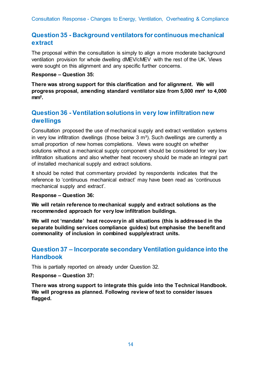### <span id="page-16-0"></span>**Question 35 - Background ventilators for continuous mechanical extract**

The proposal within the consultation is simply to align a more moderate background ventilation provision for whole dwelling dMEV/cMEV with the rest of the UK. Views were sought on this alignment and any specific further concerns.

#### **Response – Question 35:**

**There was strong support for this clarification and for alignment. We will progress proposal, amending standard ventilator size from 5,000 mm² to 4,000 mm².**

### <span id="page-16-1"></span>**Question 36 - Ventilation solutions in very low infiltration new dwellings**

Consultation proposed the use of mechanical supply and extract ventilation systems in very low infiltration dwellings (those below  $3 \text{ m}^3$ ). Such dwellings are currently a small proportion of new homes completions. Views were sought on whether solutions without a mechanical supply component should be considered for very low infiltration situations and also whether heat recovery should be made an integral part of installed mechanical supply and extract solutions.

It should be noted that commentary provided by respondents indicates that the reference to 'continuous mechanical extract' may have been read as 'continuous mechanical supply and extract'.

#### **Response – Question 36:**

**We will retain reference to mechanical supply and extract solutions as the recommended approach for very low infiltration buildings.** 

**We will not 'mandate' heat recovery in all situations (this is addressed in the separate building services compliance guides) but emphasise the benefit and commonality of inclusion in combined supply/extract units.** 

### <span id="page-16-2"></span>**Question 37 – Incorporate secondary Ventilation guidance into the Handbook**

This is partially reported on already under Question 32.

**Response – Question 37:**

**There was strong support to integrate this guide into the Technical Handbook. We will progress as planned. Following review of text to consider issues flagged.**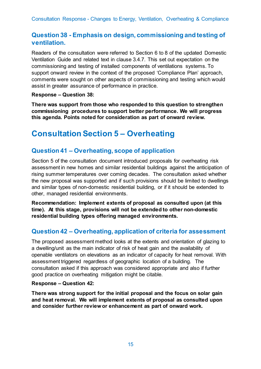### <span id="page-17-0"></span>**Question 38 - Emphasis on design, commissioning and testing of ventilation.**

Readers of the consultation were referred to Section 6 to 8 of the updated Domestic Ventilation Guide and related text in clause 3.4.7. This set out expectation on the commissioning and testing of installed components of ventilations systems. To support onward review in the context of the proposed 'Compliance Plan' approach, comments were sought on other aspects of commissioning and testing which would assist in greater assurance of performance in practice.

**Response – Question 38:**

**There was support from those who responded to this question to strengthen commissioning procedures to support better performance. We will progress this agenda. Points noted for consideration as part of onward review.**

## <span id="page-17-1"></span>**Consultation Section 5 – Overheating**

### <span id="page-17-2"></span>**Question 41 – Overheating, scope of application**

Section 5 of the consultation document introduced proposals for overheating risk assessment in new homes and similar residential buildings against the anticipation of rising summer temperatures over coming decades. The consultation asked whether the new proposal was supported and if such provisions should be limited to dwellings and similar types of non-domestic residential building, or if it should be extended to other, managed residential environments.

**Recommendation: Implement extents of proposal as consulted upon (at this time). At this stage, provisions will not be extended to other non-domestic residential building types offering managed environments.**

### <span id="page-17-3"></span>**Question 42 – Overheating, application of criteria for assessment**

The proposed assessment method looks at the extents and orientation of glazing to a dwelling/unit as the main indicator of risk of heat gain and the availability of openable ventilators on elevations as an indicator of capacity for heat removal. With assessment triggered regardless of geographic location of a building. The consultation asked if this approach was considered appropriate and also if further good practice on overheating mitigation might be citable.

#### **Response – Question 42:**

**There was strong support for the initial proposal and the focus on solar gain and heat removal. We will implement extents of proposal as consulted upon and consider further review or enhancement as part of onward work.**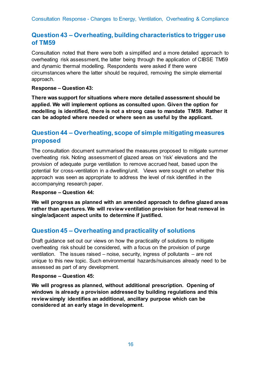### <span id="page-18-0"></span>**Question 43 – Overheating, building characteristics to trigger use of TM59**

Consultation noted that there were both a simplified and a more detailed approach to overheating risk assessment, the latter being through the application of CIBSE TM59 and dynamic thermal modelling. Respondents were asked if there were circumstances where the latter should be required, removing the simple elemental approach.

#### **Response – Question 43:**

**There was support for situations where more detailed assessment should be applied. We will implement options as consulted upon. Given the option for modelling is identified, there is not a strong case to mandate TM59. Rather it can be adopted where needed or where seen as useful by the applicant.**

### <span id="page-18-1"></span>**Question 44 – Overheating, scope of simple mitigating measures proposed**

The consultation document summarised the measures proposed to mitigate summer overheating risk. Noting assessment of glazed areas on 'risk' elevations and the provision of adequate purge ventilation to remove accrued heat, based upon the potential for cross-ventilation in a dwelling/unit. Views were sought on whether this approach was seen as appropriate to address the level of risk identified in the accompanying research paper.

#### **Response – Question 44:**

**We will progress as planned with an amended approach to define glazed areas rather than apertures. We will review ventilation provision for heat removal in single/adjacent aspect units to determine if justified.**

### <span id="page-18-2"></span>**Question 45 – Overheating and practicality of solutions**

Draft guidance set out our views on how the practicality of solutions to mitigate overheating risk should be considered, with a focus on the provision of purge ventilation. The issues raised – noise, security, ingress of pollutants – are not unique to this new topic. Such environmental hazards/nuisances already need to be assessed as part of any development.

#### **Response – Question 45:**

**We will progress as planned, without additional prescription. Opening of windows is already a provision addressed by building regulations and this review simply identifies an additional, ancillary purpose which can be considered at an early stage in development.**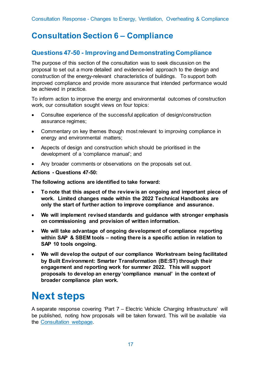## <span id="page-19-0"></span>**Consultation Section 6 – Compliance**

### <span id="page-19-1"></span>**Questions 47-50 - Improving and Demonstrating Compliance**

The purpose of this section of the consultation was to seek discussion on the proposal to set out a more detailed and evidence-led approach to the design and construction of the energy-relevant characteristics of buildings. To support both improved compliance and provide more assurance that intended performance would be achieved in practice.

To inform action to improve the energy and environmental outcomes of construction work, our consultation sought views on four topics:

- Consultee experience of the successful application of design/construction assurance regimes;
- Commentary on key themes though most relevant to improving compliance in energy and environmental matters;
- Aspects of design and construction which should be prioritised in the development of a 'compliance manual'; and
- Any broader comments or observations on the proposals set out.

#### **Actions - Questions 47-50:**

**The following actions are identified to take forward:**

- **To note that this aspect of the review is an ongoing and important piece of work. Limited changes made within the 2022 Technical Handbooks are only the start of further action to improve compliance and assurance.**
- **We will implement revised standards and guidance with stronger emphasis on commissioning and provision of written information.**
- **We will take advantage of ongoing development of compliance reporting within SAP & SBEM tools – noting there is a specific action in relation to SAP 10 tools ongoing.**
- **We will develop the output of our compliance Workstream being facilitated by Built Environment: Smarter Transformation (BE:ST) through their engagement and reporting work for summer 2022. This will support proposals to develop an energy 'compliance manual' in the context of broader compliance plan work.**

# <span id="page-19-2"></span>**Next steps**

A separate response covering 'Part 7 – Electric Vehicle Charging Infrastructure' will be published, noting how proposals will be taken forward. This will be available via the [Consultation webpage.](https://consult.gov.scot/local-government-and-communities/building-regulations-energy-standards-review/consultation/published_select_respondent)